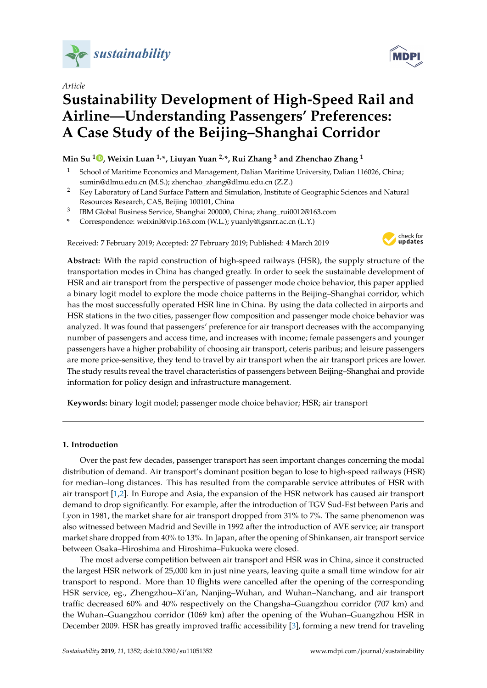

*Article*

# **Sustainability Development of High-Speed Rail and Airline—Understanding Passengers' Preferences: A Case Study of the Beijing–Shanghai Corridor**

# **Min Su [1](https://orcid.org/0000-0001-8307-482X) , Weixin Luan 1,\*, Liuyan Yuan 2,\*, Rui Zhang <sup>3</sup> and Zhenchao Zhang <sup>1</sup>**

- <sup>1</sup> School of Maritime Economics and Management, Dalian Maritime University, Dalian 116026, China; sumin@dlmu.edu.cn (M.S.); zhenchao\_zhang@dlmu.edu.cn (Z.Z.)
- <sup>2</sup> Key Laboratory of Land Surface Pattern and Simulation, Institute of Geographic Sciences and Natural Resources Research, CAS, Beijing 100101, China
- 3 IBM Global Business Service, Shanghai 200000, China; zhang\_rui0012@163.com
- **\*** Correspondence: weixinl@vip.163.com (W.L.); yuanly@igsnrr.ac.cn (L.Y.)

Received: 7 February 2019; Accepted: 27 February 2019; Published: 4 March 2019



**Abstract:** With the rapid construction of high-speed railways (HSR), the supply structure of the transportation modes in China has changed greatly. In order to seek the sustainable development of HSR and air transport from the perspective of passenger mode choice behavior, this paper applied a binary logit model to explore the mode choice patterns in the Beijing–Shanghai corridor, which has the most successfully operated HSR line in China. By using the data collected in airports and HSR stations in the two cities, passenger flow composition and passenger mode choice behavior was analyzed. It was found that passengers' preference for air transport decreases with the accompanying number of passengers and access time, and increases with income; female passengers and younger passengers have a higher probability of choosing air transport, ceteris paribus; and leisure passengers are more price-sensitive, they tend to travel by air transport when the air transport prices are lower. The study results reveal the travel characteristics of passengers between Beijing–Shanghai and provide information for policy design and infrastructure management.

**Keywords:** binary logit model; passenger mode choice behavior; HSR; air transport

#### **1. Introduction**

Over the past few decades, passenger transport has seen important changes concerning the modal distribution of demand. Air transport's dominant position began to lose to high-speed railways (HSR) for median–long distances. This has resulted from the comparable service attributes of HSR with air transport [\[1](#page-16-0)[,2\]](#page-16-1). In Europe and Asia, the expansion of the HSR network has caused air transport demand to drop significantly. For example, after the introduction of TGV Sud-Est between Paris and Lyon in 1981, the market share for air transport dropped from 31% to 7%. The same phenomenon was also witnessed between Madrid and Seville in 1992 after the introduction of AVE service; air transport market share dropped from 40% to 13%. In Japan, after the opening of Shinkansen, air transport service between Osaka–Hiroshima and Hiroshima–Fukuoka were closed.

The most adverse competition between air transport and HSR was in China, since it constructed the largest HSR network of 25,000 km in just nine years, leaving quite a small time window for air transport to respond. More than 10 flights were cancelled after the opening of the corresponding HSR service, eg., Zhengzhou–Xi'an, Nanjing–Wuhan, and Wuhan–Nanchang, and air transport traffic decreased 60% and 40% respectively on the Changsha–Guangzhou corridor (707 km) and the Wuhan–Guangzhou corridor (1069 km) after the opening of the Wuhan–Guangzhou HSR in December 2009. HSR has greatly improved traffic accessibility [\[3\]](#page-16-2), forming a new trend for traveling

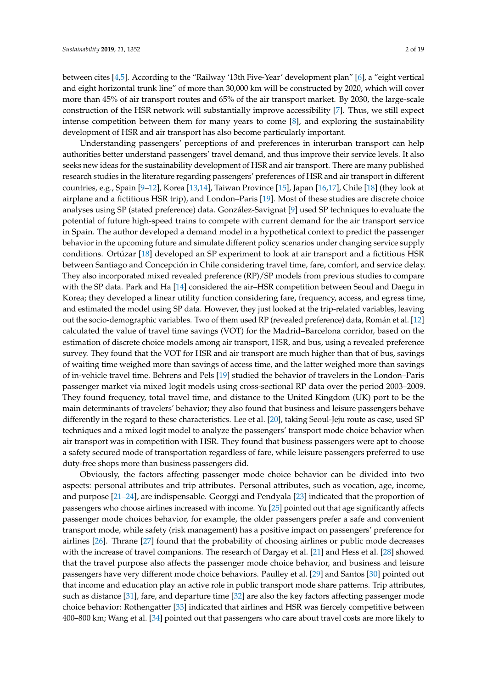between cites [\[4](#page-16-3)[,5\]](#page-16-4). According to the "Railway '13th Five-Year' development plan" [\[6\]](#page-16-5), a "eight vertical and eight horizontal trunk line" of more than 30,000 km will be constructed by 2020, which will cover more than 45% of air transport routes and 65% of the air transport market. By 2030, the large-scale construction of the HSR network will substantially improve accessibility [\[7\]](#page-16-6). Thus, we still expect intense competition between them for many years to come [\[8\]](#page-16-7), and exploring the sustainability development of HSR and air transport has also become particularly important.

Understanding passengers' perceptions of and preferences in interurban transport can help authorities better understand passengers' travel demand, and thus improve their service levels. It also seeks new ideas for the sustainability development of HSR and air transport. There are many published research studies in the literature regarding passengers' preferences of HSR and air transport in different countries, e.g., Spain [\[9–](#page-16-8)[12\]](#page-16-9), Korea [\[13,](#page-16-10)[14\]](#page-16-11), Taiwan Province [\[15\]](#page-17-0), Japan [\[16](#page-17-1)[,17\]](#page-17-2), Chile [\[18\]](#page-17-3) (they look at airplane and a fictitious HSR trip), and London–Paris [\[19\]](#page-17-4). Most of these studies are discrete choice analyses using SP (stated preference) data. González-Savignat [\[9\]](#page-16-8) used SP techniques to evaluate the potential of future high-speed trains to compete with current demand for the air transport service in Spain. The author developed a demand model in a hypothetical context to predict the passenger behavior in the upcoming future and simulate different policy scenarios under changing service supply conditions. Ortúzar [\[18\]](#page-17-3) developed an SP experiment to look at air transport and a fictitious HSR between Santiago and Concepción in Chile considering travel time, fare, comfort, and service delay. They also incorporated mixed revealed preference (RP)/SP models from previous studies to compare with the SP data. Park and Ha [\[14\]](#page-16-11) considered the air–HSR competition between Seoul and Daegu in Korea; they developed a linear utility function considering fare, frequency, access, and egress time, and estimated the model using SP data. However, they just looked at the trip-related variables, leaving out the socio-demographic variables. Two of them used RP (revealed preference) data, Román et al. [\[12\]](#page-16-9) calculated the value of travel time savings (VOT) for the Madrid–Barcelona corridor, based on the estimation of discrete choice models among air transport, HSR, and bus, using a revealed preference survey. They found that the VOT for HSR and air transport are much higher than that of bus, savings of waiting time weighed more than savings of access time, and the latter weighed more than savings of in-vehicle travel time. Behrens and Pels [\[19\]](#page-17-4) studied the behavior of travelers in the London–Paris passenger market via mixed logit models using cross-sectional RP data over the period 2003–2009. They found frequency, total travel time, and distance to the United Kingdom (UK) port to be the main determinants of travelers' behavior; they also found that business and leisure passengers behave differently in the regard to these characteristics. Lee et al. [\[20\]](#page-17-5), taking Seoul-Jeju route as case, used SP techniques and a mixed logit model to analyze the passengers' transport mode choice behavior when air transport was in competition with HSR. They found that business passengers were apt to choose a safety secured mode of transportation regardless of fare, while leisure passengers preferred to use duty-free shops more than business passengers did.

Obviously, the factors affecting passenger mode choice behavior can be divided into two aspects: personal attributes and trip attributes. Personal attributes, such as vocation, age, income, and purpose [\[21–](#page-17-6)[24\]](#page-17-7), are indispensable. Georggi and Pendyala [\[23\]](#page-17-8) indicated that the proportion of passengers who choose airlines increased with income. Yu [\[25\]](#page-17-9) pointed out that age significantly affects passenger mode choices behavior, for example, the older passengers prefer a safe and convenient transport mode, while safety (risk management) has a positive impact on passengers' preference for airlines [\[26\]](#page-17-10). Thrane [\[27\]](#page-17-11) found that the probability of choosing airlines or public mode decreases with the increase of travel companions. The research of Dargay et al. [\[21\]](#page-17-6) and Hess et al. [\[28\]](#page-17-12) showed that the travel purpose also affects the passenger mode choice behavior, and business and leisure passengers have very different mode choice behaviors. Paulley et al. [\[29\]](#page-17-13) and Santos [\[30\]](#page-17-14) pointed out that income and education play an active role in public transport mode share patterns. Trip attributes, such as distance [\[31\]](#page-17-15), fare, and departure time [\[32\]](#page-17-16) are also the key factors affecting passenger mode choice behavior: Rothengatter [\[33\]](#page-17-17) indicated that airlines and HSR was fiercely competitive between 400–800 km; Wang et al. [\[34\]](#page-17-18) pointed out that passengers who care about travel costs are more likely to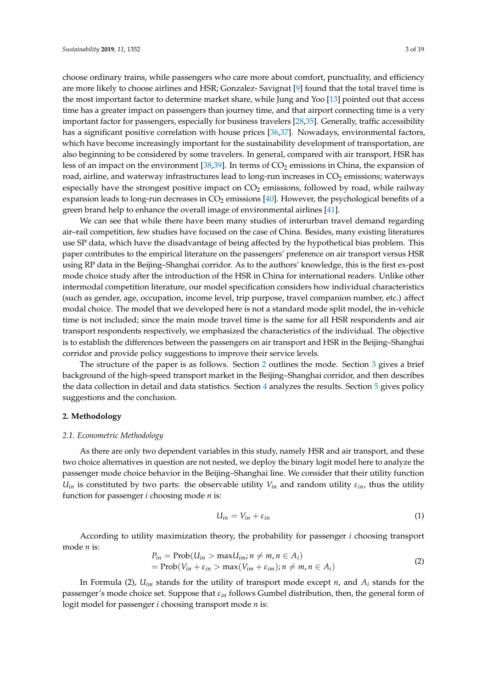choose ordinary trains, while passengers who care more about comfort, punctuality, and efficiency are more likely to choose airlines and HSR; Gonzalez- Savignat [\[9\]](#page-16-8) found that the total travel time is the most important factor to determine market share, while Jung and Yoo [\[13\]](#page-16-10) pointed out that access time has a greater impact on passengers than journey time, and that airport connecting time is a very important factor for passengers, especially for business travelers [\[28](#page-17-12)[,35\]](#page-17-19). Generally, traffic accessibility has a significant positive correlation with house prices [\[36](#page-17-20)[,37\]](#page-17-21). Nowadays, environmental factors, which have become increasingly important for the sustainability development of transportation, are also beginning to be considered by some travelers. In general, compared with air transport, HSR has less of an impact on the environment [\[38](#page-17-22)[,39\]](#page-17-23). In terms of  $CO<sub>2</sub>$  emissions in China, the expansion of road, airline, and waterway infrastructures lead to long-run increases in  $CO<sub>2</sub>$  emissions; waterways especially have the strongest positive impact on  $CO<sub>2</sub>$  emissions, followed by road, while railway expansion leads to long-run decreases in  $CO<sub>2</sub>$  emissions [\[40\]](#page-17-24). However, the psychological benefits of a green brand help to enhance the overall image of environmental airlines [\[41\]](#page-18-0).

We can see that while there have been many studies of interurban travel demand regarding air–rail competition, few studies have focused on the case of China. Besides, many existing literatures use SP data, which have the disadvantage of being affected by the hypothetical bias problem. This paper contributes to the empirical literature on the passengers' preference on air transport versus HSR using RP data in the Beijing–Shanghai corridor. As to the authors' knowledge, this is the first ex-post mode choice study after the introduction of the HSR in China for international readers. Unlike other intermodal competition literature, our model specification considers how individual characteristics (such as gender, age, occupation, income level, trip purpose, travel companion number, etc.) affect modal choice. The model that we developed here is not a standard mode split model, the in-vehicle time is not included; since the main mode travel time is the same for all HSR respondents and air transport respondents respectively, we emphasized the characteristics of the individual. The objective is to establish the differences between the passengers on air transport and HSR in the Beijing–Shanghai corridor and provide policy suggestions to improve their service levels.

The structure of the paper is as follows. Section [2](#page-2-0) outlines the mode. Section [3](#page-4-0) gives a brief background of the high-speed transport market in the Beijing–Shanghai corridor, and then describes the data collection in detail and data statistics. Section [4](#page-7-0) analyzes the results. Section [5](#page-12-0) gives policy suggestions and the conclusion.

#### <span id="page-2-0"></span>**2. Methodology**

#### *2.1. Econometric Methodology*

As there are only two dependent variables in this study, namely HSR and air transport, and these two choice alternatives in question are not nested, we deploy the binary logit model here to analyze the passenger mode choice behavior in the Beijing–Shanghai line. We consider that their utility function  $U_{in}$  is constituted by two parts: the observable utility  $V_{in}$  and random utility  $\varepsilon_{in}$ , thus the utility function for passenger *i* choosing mode *n* is:

$$
U_{in} = V_{in} + \varepsilon_{in} \tag{1}
$$

According to utility maximization theory, the probability for passenger *i* choosing transport mode *n* is:

$$
P_{in} = \text{Prob}(U_{in} > \max U_{im}; n \neq m, n \in A_i)
$$
  
=  $\text{Prob}(V_{in} + \varepsilon_{in} > \max(V_{im} + \varepsilon_{im}); n \neq m, n \in A_i)$  (2)

In Formula (2),  $U_{im}$  stands for the utility of transport mode except *n*, and  $A_i$  stands for the passenger's mode choice set. Suppose that *εin* follows Gumbel distribution, then, the general form of logit model for passenger *i* choosing transport mode *n* is: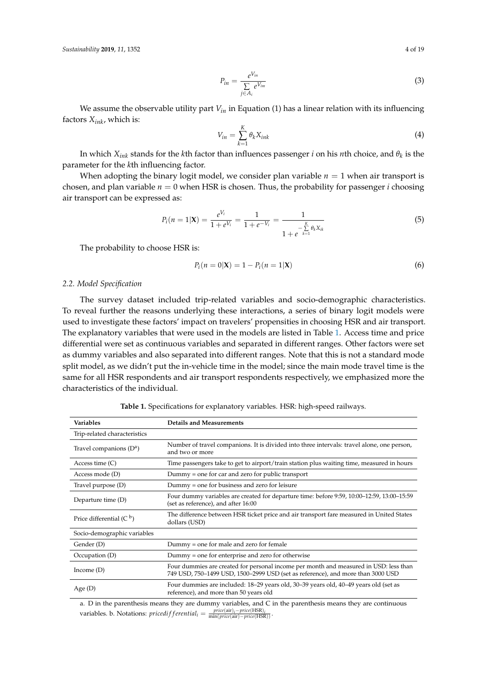$$
P_{in} = \frac{e^{V_{in}}}{\sum\limits_{j \in A_i} e^{V_{im}}} \tag{3}
$$

We assume the observable utility part *Vin* in Equation (1) has a linear relation with its influencing factors *Xink*, which is:

$$
V_{in} = \sum_{k=1}^{K} \theta_k X_{ink} \tag{4}
$$

In which *Xink* stands for the *k*th factor than influences passenger *i* on his *n*th choice, and *θ<sup>k</sup>* is the parameter for the *k*th influencing factor.

When adopting the binary logit model, we consider plan variable  $n = 1$  when air transport is chosen, and plan variable  $n = 0$  when HSR is chosen. Thus, the probability for passenger *i* choosing air transport can be expressed as:

$$
P_i(n=1|\mathbf{X}) = \frac{e^{V_i}}{1+e^{V_i}} = \frac{1}{1+e^{-V_i}} = \frac{1}{1+e^{-\sum_{k=1}^{K} \theta_k X_{ik}}}
$$
(5)

The probability to choose HSR is:

$$
P_i(n = 0|\mathbf{X}) = 1 - P_i(n = 1|\mathbf{X})
$$
\n(6)

#### *2.2. Model Specification*

The survey dataset included trip-related variables and socio-demographic characteristics. To reveal further the reasons underlying these interactions, a series of binary logit models were used to investigate these factors' impact on travelers' propensities in choosing HSR and air transport. The explanatory variables that were used in the models are listed in Table [1.](#page-3-0) Access time and price differential were set as continuous variables and separated in different ranges. Other factors were set as dummy variables and also separated into different ranges. Note that this is not a standard mode split model, as we didn't put the in-vehicle time in the model; since the main mode travel time is the same for all HSR respondents and air transport respondents respectively, we emphasized more the characteristics of the individual.

<span id="page-3-0"></span>

| <b>Variables</b>             | <b>Details and Measurements</b>                                                                                                                                          |
|------------------------------|--------------------------------------------------------------------------------------------------------------------------------------------------------------------------|
| Trip-related characteristics |                                                                                                                                                                          |
| Travel companions $(D^a)$    | Number of travel companions. It is divided into three intervals: travel alone, one person,<br>and two or more                                                            |
| Access time $(C)$            | Time passengers take to get to airport/train station plus waiting time, measured in hours                                                                                |
| Access mode (D)              | Dummy = one for car and zero for public transport                                                                                                                        |
| Travel purpose (D)           | Dummy = one for business and zero for leisure                                                                                                                            |
| Departure time (D)           | Four dummy variables are created for departure time: before 9:59, 10:00-12:59, 13:00-15:59<br>(set as reference), and after 16:00                                        |
| Price differential $(C^b)$   | The difference between HSR ticket price and air transport fare measured in United States<br>dollars (USD)                                                                |
| Socio-demographic variables  |                                                                                                                                                                          |
| Gender (D)                   | Dummy = one for male and zero for female                                                                                                                                 |
| Occupation (D)               | Dummy = one for enterprise and zero for otherwise                                                                                                                        |
| Income $(D)$                 | Four dummies are created for personal income per month and measured in USD: less than<br>749 USD, 750-1499 USD, 1500-2999 USD (set as reference), and more than 3000 USD |
| Age $(D)$                    | Four dummies are included: 18-29 years old, 30-39 years old, 40-49 years old (set as<br>reference), and more than 50 years old                                           |

**Table 1.** Specifications for explanatory variables. HSR: high-speed railways.

a. D in the parenthesis means they are dummy variables, and C in the parenthesis means they are continuous variables. b. Notations: *pricedif f erential*<sub>*i*</sub> =  $\frac{price(\text{air})_i - price(\text{HSR})_i}{min(price(\text{air}) - price(\text{HSR}))}$ .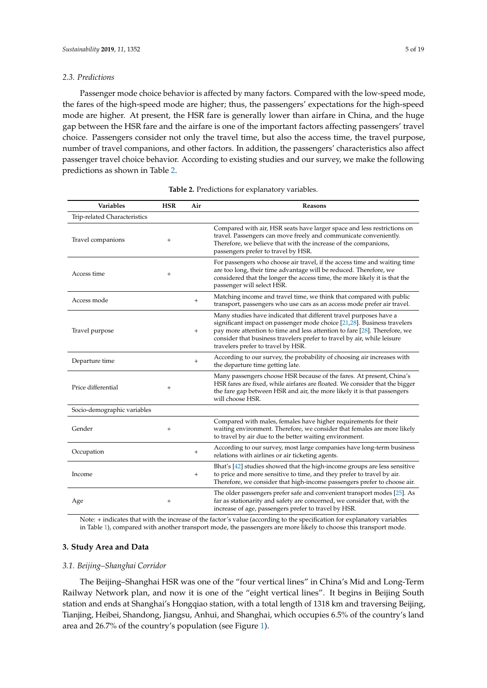#### *2.3. Predictions*

Passenger mode choice behavior is affected by many factors. Compared with the low-speed mode, the fares of the high-speed mode are higher; thus, the passengers' expectations for the high-speed mode are higher. At present, the HSR fare is generally lower than airfare in China, and the huge gap between the HSR fare and the airfare is one of the important factors affecting passengers' travel choice. Passengers consider not only the travel time, but also the access time, the travel purpose, number of travel companions, and other factors. In addition, the passengers' characteristics also affect passenger travel choice behavior. According to existing studies and our survey, we make the following predictions as shown in Table [2.](#page-4-1)

<span id="page-4-1"></span>

| <b>Variables</b>             | <b>HSR</b> | Air    | <b>Reasons</b>                                                                                                                                                                                                                                                                                                                             |
|------------------------------|------------|--------|--------------------------------------------------------------------------------------------------------------------------------------------------------------------------------------------------------------------------------------------------------------------------------------------------------------------------------------------|
| Trip-related Characteristics |            |        |                                                                                                                                                                                                                                                                                                                                            |
| Travel companions            | $^{+}$     |        | Compared with air, HSR seats have larger space and less restrictions on<br>travel. Passengers can move freely and communicate conveniently.<br>Therefore, we believe that with the increase of the companions,<br>passengers prefer to travel by HSR.                                                                                      |
| Access time                  | $+$        |        | For passengers who choose air travel, if the access time and waiting time<br>are too long, their time advantage will be reduced. Therefore, we<br>considered that the longer the access time, the more likely it is that the<br>passenger will select HSR.                                                                                 |
| Access mode                  |            | $+$    | Matching income and travel time, we think that compared with public<br>transport, passengers who use cars as an access mode prefer air travel.                                                                                                                                                                                             |
| Travel purpose               |            | $^{+}$ | Many studies have indicated that different travel purposes have a<br>significant impact on passenger mode choice [21,28]. Business travelers<br>pay more attention to time and less attention to fare [28]. Therefore, we<br>consider that business travelers prefer to travel by air, while leisure<br>travelers prefer to travel by HSR. |
| Departure time               |            | $^{+}$ | According to our survey, the probability of choosing air increases with<br>the departure time getting late.                                                                                                                                                                                                                                |
| Price differential           | $^{+}$     |        | Many passengers choose HSR because of the fares. At present, China's<br>HSR fares are fixed, while airfares are floated. We consider that the bigger<br>the fare gap between HSR and air, the more likely it is that passengers<br>will choose HSR.                                                                                        |
| Socio-demographic variables  |            |        |                                                                                                                                                                                                                                                                                                                                            |
| Gender                       | $^{+}$     |        | Compared with males, females have higher requirements for their<br>waiting environment. Therefore, we consider that females are more likely<br>to travel by air due to the better waiting environment.                                                                                                                                     |
| Occupation                   |            | $^{+}$ | According to our survey, most large companies have long-term business<br>relations with airlines or air ticketing agents.                                                                                                                                                                                                                  |
| Income                       |            | $^{+}$ | Bhat's [42] studies showed that the high-income groups are less sensitive<br>to price and more sensitive to time, and they prefer to travel by air.<br>Therefore, we consider that high-income passengers prefer to choose air.                                                                                                            |
| Age                          | $^{+}$     |        | The older passengers prefer safe and convenient transport modes [25]. As<br>far as stationarity and safety are concerned, we consider that, with the<br>increase of age, passengers prefer to travel by HSR.                                                                                                                               |

| Table 2. Predictions for explanatory variables. |  |  |  |  |  |
|-------------------------------------------------|--|--|--|--|--|
|-------------------------------------------------|--|--|--|--|--|

Note: + indicates that with the increase of the factor's value (according to the specification for explanatory variables in Table [1\)](#page-3-0), compared with another transport mode, the passengers are more likely to choose this transport mode.

#### <span id="page-4-0"></span>**3. Study Area and Data**

#### *3.1. Beijing–Shanghai Corridor*

The Beijing–Shanghai HSR was one of the "four vertical lines" in China's Mid and Long-Term Railway Network plan, and now it is one of the "eight vertical lines". It begins in Beijing South station and ends at Shanghai's Hongqiao station, with a total length of 1318 km and traversing Beijing, Tianjing, Heibei, Shandong, Jiangsu, Anhui, and Shanghai, which occupies 6.5% of the country's land area and 26.7% of the country's population (see Figure [1\)](#page-5-0).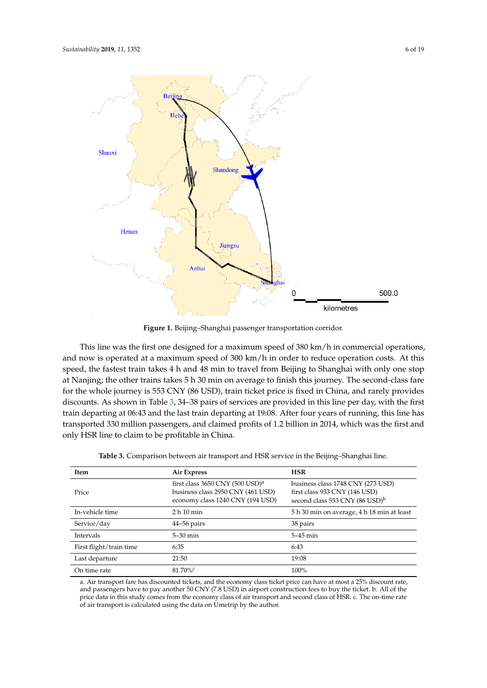<span id="page-5-0"></span>

**Figure 1.** Beijing**–**Shanghai passenger transportation corridor. **Figure 1.** Beijing–Shanghai passenger transportation corridor.

This line was the first one designed for a maximum speed of 380 km/h in commercial operations, This line was the first one designed for a maximum speed of 380 km/h in commercial operations, and now is operated at a maximum speed of 300 km/h in order to reduce operation costs. At this and now is operated at a maximum speed of 300 km/h in order to reduce operation costs. At this speed, the fastest train takes 4 h and 48 min to travel from Beijing to Shanghai with only one stop at Nanjing; the other trains takes 5 h 30 min on average to finish this journey. The second-class fare for the whole journey is 553 CNY (86 USD), train ticket price is fixed in China, and rarely provides discounts. As shown in Tabl[e 3](#page-5-1), 34**–**38 pairs of services are provided in this line per day, with the first discounts. As shown in Table 3, 34–38 pairs of services are provided in this line per day, with the first train departing at 06:43 and the last train departing at 19:08. After four years of running, this line has train departing at 06:43 and the last train departing at 19:08. After four years of running, this line has transported 330 million passengers, and claimed profits of 1.2 billion in 2014, which was the first and transported 330 million passengers, and claimed profits of 1.2 billion in 2014, which was the first and only HSR line to claim to be profitable in China. only HSR line to claim to be profitable in China.

<span id="page-5-1"></span>

| Item                    | Air Express                                                                                                         | <b>HSR</b>                                                                                                       |
|-------------------------|---------------------------------------------------------------------------------------------------------------------|------------------------------------------------------------------------------------------------------------------|
| Price                   | first class 3650 CNY $(500 \text{ USD})^a$<br>business class 2950 CNY (461 USD)<br>economy class 1240 CNY (194 USD) | business class 1748 CNY (273 USD)<br>first class 933 CNY (146 USD)<br>second class 553 CNY (86 USD) <sup>b</sup> |
| In-vehicle time         | 2h10min                                                                                                             | 5 h 30 min on average, 4 h 18 min at least                                                                       |
| Service/day             | $44 - 56$ pairs                                                                                                     | 38 pairs                                                                                                         |
| Intervals               | $5-30$ min                                                                                                          | $5-45$ min                                                                                                       |
| First flight/train time | 6:35                                                                                                                | 6:43                                                                                                             |
| Last departure          | 21:50                                                                                                               | 19:08                                                                                                            |
| On time rate            | $81.70\%$ <sup>c</sup>                                                                                              | 100%                                                                                                             |

| Table 3. Comparison between air transport and HSR service in the Beijing-Shanghai line. |  |
|-----------------------------------------------------------------------------------------|--|
|-----------------------------------------------------------------------------------------|--|

a. Air transport fare has discounted tickets, and the economy class ticket price can have at most a 25% discount rate, and passengers have to pay another 50 CNY (7.8 USD) in airport construction fees to buy the ticket. b. All of the price data in this study comes from the economy class of air transport and second class of HSR. c. The on-time rate of air transport is calculated using the data on Umetrip by the author.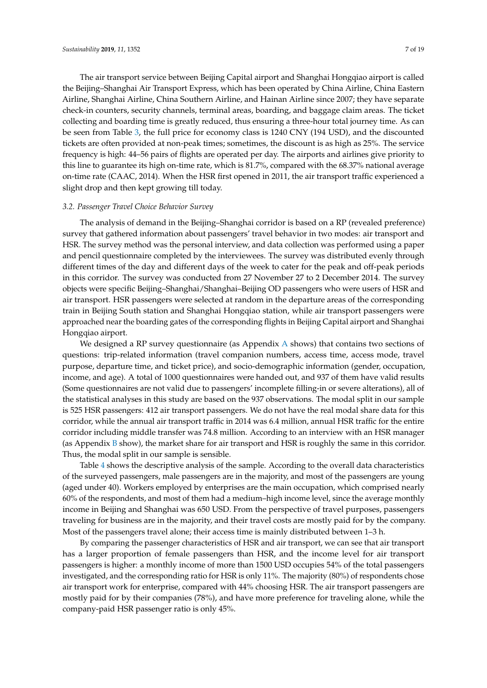The air transport service between Beijing Capital airport and Shanghai Hongqiao airport is called the Beijing–Shanghai Air Transport Express, which has been operated by China Airline, China Eastern Airline, Shanghai Airline, China Southern Airline, and Hainan Airline since 2007; they have separate check-in counters, security channels, terminal areas, boarding, and baggage claim areas. The ticket collecting and boarding time is greatly reduced, thus ensuring a three-hour total journey time. As can be seen from Table [3,](#page-5-1) the full price for economy class is 1240 CNY (194 USD), and the discounted tickets are often provided at non-peak times; sometimes, the discount is as high as 25%. The service frequency is high: 44–56 pairs of flights are operated per day. The airports and airlines give priority to this line to guarantee its high on-time rate, which is 81.7%, compared with the 68.37% national average on-time rate (CAAC, 2014). When the HSR first opened in 2011, the air transport traffic experienced a slight drop and then kept growing till today.

#### *3.2. Passenger Travel Choice Behavior Survey*

The analysis of demand in the Beijing–Shanghai corridor is based on a RP (revealed preference) survey that gathered information about passengers' travel behavior in two modes: air transport and HSR. The survey method was the personal interview, and data collection was performed using a paper and pencil questionnaire completed by the interviewees. The survey was distributed evenly through different times of the day and different days of the week to cater for the peak and off-peak periods in this corridor. The survey was conducted from 27 November 27 to 2 December 2014. The survey objects were specific Beijing–Shanghai/Shanghai–Beijing OD passengers who were users of HSR and air transport. HSR passengers were selected at random in the departure areas of the corresponding train in Beijing South station and Shanghai Hongqiao station, while air transport passengers were approached near the boarding gates of the corresponding flights in Beijing Capital airport and Shanghai Hongqiao airport.

We designed a RP survey questionnaire (as [A](#page-13-0)ppendix  $A$  shows) that contains two sections of questions: trip-related information (travel companion numbers, access time, access mode, travel purpose, departure time, and ticket price), and socio-demographic information (gender, occupation, income, and age). A total of 1000 questionnaires were handed out, and 937 of them have valid results (Some questionnaires are not valid due to passengers' incomplete filling-in or severe alterations), all of the statistical analyses in this study are based on the 937 observations. The modal split in our sample is 525 HSR passengers: 412 air transport passengers. We do not have the real modal share data for this corridor, while the annual air transport traffic in 2014 was 6.4 million, annual HSR traffic for the entire corridor including middle transfer was 74.8 million. According to an interview with an HSR manager (as Appendix  $\overline{B}$  $\overline{B}$  $\overline{B}$  show), the market share for air transport and HSR is roughly the same in this corridor. Thus, the modal split in our sample is sensible.

Table [4](#page-7-1) shows the descriptive analysis of the sample. According to the overall data characteristics of the surveyed passengers, male passengers are in the majority, and most of the passengers are young (aged under 40). Workers employed by enterprises are the main occupation, which comprised nearly 60% of the respondents, and most of them had a medium–high income level, since the average monthly income in Beijing and Shanghai was 650 USD. From the perspective of travel purposes, passengers traveling for business are in the majority, and their travel costs are mostly paid for by the company. Most of the passengers travel alone; their access time is mainly distributed between 1–3 h.

By comparing the passenger characteristics of HSR and air transport, we can see that air transport has a larger proportion of female passengers than HSR, and the income level for air transport passengers is higher: a monthly income of more than 1500 USD occupies 54% of the total passengers investigated, and the corresponding ratio for HSR is only 11%. The majority (80%) of respondents chose air transport work for enterprise, compared with 44% choosing HSR. The air transport passengers are mostly paid for by their companies (78%), and have more preference for traveling alone, while the company-paid HSR passenger ratio is only 45%.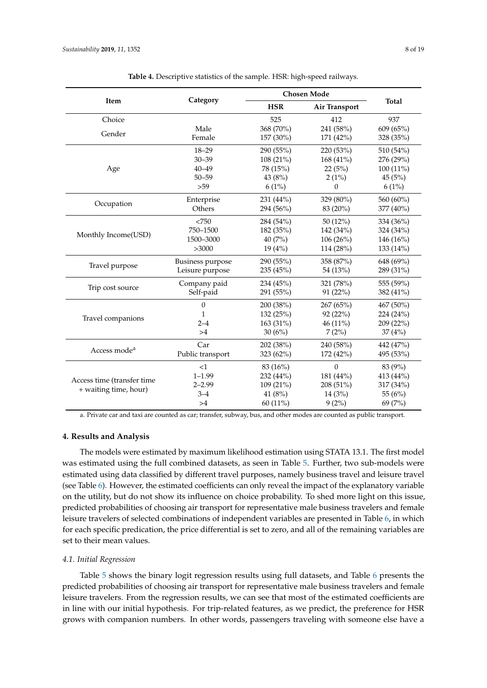<span id="page-7-1"></span>

|                                                     |                  | <b>Chosen Mode</b> |                      |              |
|-----------------------------------------------------|------------------|--------------------|----------------------|--------------|
| Item                                                | Category         | <b>HSR</b>         | <b>Air Transport</b> | <b>Total</b> |
| Choice                                              |                  | 525                | 412                  | 937          |
|                                                     | Male             | 368 (70%)          | 241 (58%)            | 609 (65%)    |
| Gender                                              | Female           | 157 (30%)          | 171 (42%)            | 328 (35%)    |
|                                                     | $18 - 29$        | 290 (55%)          | 220 (53%)            | 510 (54%)    |
|                                                     | $30 - 39$        | $108(21\%)$        | 168 (41%)            | 276 (29%)    |
| Age                                                 | $40 - 49$        | 78 (15%)           | 22(5%)               | 100 (11%)    |
|                                                     | $50 - 59$        | 43 $(8%)$          | 2(1%)                | 45(5%)       |
|                                                     | $>59$            | 6(1%)              | $\Omega$             | 6(1%)        |
|                                                     | Enterprise       | 231 (44%)          | 329 (80%)            | 560 (60%)    |
| Occupation                                          | Others           | 294 (56%)          | 83 (20%)             | 377 (40%)    |
|                                                     | < 750            | 284 (54%)          | 50 (12%)             | 334 (36%)    |
|                                                     | 750-1500         | 182 (35%)          | 142 (34%)            | 324 (34%)    |
| Monthly Income(USD)                                 | 1500-3000        | 40 $(7%)$          | 106(26%)             | 146 (16%)    |
|                                                     | >3000            | 19 (4%)            | 114 (28%)            | 133 (14%)    |
| Travel purpose                                      | Business purpose | 290 (55%)          | 358 (87%)            | 648 (69%)    |
|                                                     | Leisure purpose  | 235 (45%)          | 54 (13%)             | 289 (31%)    |
| Trip cost source                                    | Company paid     | 234 (45%)          | 321 (78%)            | 555 (59%)    |
|                                                     | Self-paid        | 291 (55%)          | 91(22%)              | 382 (41%)    |
|                                                     | $\mathbf{0}$     | 200 (38%)          | 267 (65%)            | 467 (50%)    |
| Travel companions                                   | $\mathbf{1}$     | 132(25%)           | 92(22%)              | 224 (24%)    |
|                                                     | $2 - 4$          | 163(31%)           | $46(11\%)$           | 209 (22%)    |
|                                                     | >4               | 30(6%)             | 7(2%)                | 37 (4%)      |
|                                                     | Car              | 202 (38%)          | 240 (58%)            | 442 (47%)    |
| Access mode <sup>a</sup>                            | Public transport | 323 (62%)          | 172 (42%)            | 495 (53%)    |
|                                                     | <1               | 83 (16%)           | $\Omega$             | 83 (9%)      |
|                                                     | $1 - 1.99$       | 232 (44%)          | 181 (44%)            | 413 (44%)    |
| Access time (transfer time<br>+ waiting time, hour) | $2 - 2.99$       | 109(21%)           | 208 (51%)            | 317 (34%)    |
|                                                     | $3 - 4$          | 41 $(8%)$          | 14 (3%)              | 55 (6%)      |
|                                                     | >4               | 60 (11%)           | 9(2%)                | 69 (7%)      |

**Table 4.** Descriptive statistics of the sample. HSR: high-speed railways.

a. Private car and taxi are counted as car; transfer, subway, bus, and other modes are counted as public transport.

#### <span id="page-7-0"></span>**4. Results and Analysis**

The models were estimated by maximum likelihood estimation using STATA 13.1. The first model was estimated using the full combined datasets, as seen in Table [5.](#page-8-0) Further, two sub-models were estimated using data classified by different travel purposes, namely business travel and leisure travel (see Table [6\)](#page-9-0). However, the estimated coefficients can only reveal the impact of the explanatory variable on the utility, but do not show its influence on choice probability. To shed more light on this issue, predicted probabilities of choosing air transport for representative male business travelers and female leisure travelers of selected combinations of independent variables are presented in Table [6,](#page-9-0) in which for each specific predication, the price differential is set to zero, and all of the remaining variables are set to their mean values.

#### *4.1. Initial Regression*

Table [5](#page-8-0) shows the binary logit regression results using full datasets, and Table [6](#page-9-0) presents the predicted probabilities of choosing air transport for representative male business travelers and female leisure travelers. From the regression results, we can see that most of the estimated coefficients are in line with our initial hypothesis. For trip-related features, as we predict, the preference for HSR grows with companion numbers. In other words, passengers traveling with someone else have a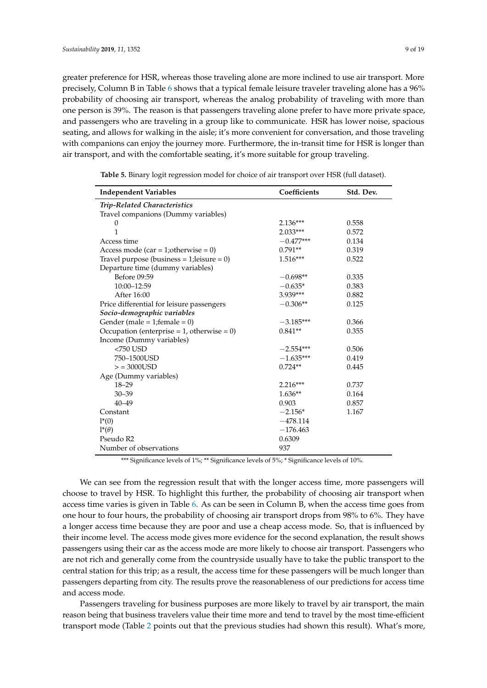greater preference for HSR, whereas those traveling alone are more inclined to use air transport. More precisely, Column B in Table [6](#page-9-0) shows that a typical female leisure traveler traveling alone has a 96% probability of choosing air transport, whereas the analog probability of traveling with more than one person is 39%. The reason is that passengers traveling alone prefer to have more private space, and passengers who are traveling in a group like to communicate. HSR has lower noise, spacious seating, and allows for walking in the aisle; it's more convenient for conversation, and those traveling with companions can enjoy the journey more. Furthermore, the in-transit time for HSR is longer than air transport, and with the comfortable seating, it's more suitable for group traveling.

| <b>Independent Variables</b>                     | Coefficients | Std. Dev. |
|--------------------------------------------------|--------------|-----------|
| <b>Trip-Related Characteristics</b>              |              |           |
| Travel companions (Dummy variables)              |              |           |
| 0                                                | $2.136***$   | 0.558     |
|                                                  | $2.033***$   | 0.572     |
| Access time                                      | $-0.477***$  | 0.134     |
| Access mode (car = 1; otherwise = 0)             | $0.791**$    | 0.319     |
| Travel purpose (business = $1$ ; leisure = 0)    | $1.516***$   | 0.522     |
| Departure time (dummy variables)                 |              |           |
| Before 09:59                                     | $-0.698**$   | 0.335     |
| 10:00-12:59                                      | $-0.635*$    | 0.383     |
| After 16:00                                      | 3.939***     | 0.882     |
| Price differential for leisure passengers        | $-0.306**$   | 0.125     |
| Socio-demographic variables                      |              |           |
| Gender (male = $1$ ; female = 0)                 | $-3.185***$  | 0.366     |
| Occupation (enterprise = $1$ , otherwise = $0$ ) | $0.841**$    | 0.355     |
| Income (Dummy variables)                         |              |           |
| $<$ 750 USD                                      | $-2.554***$  | 0.506     |
| 750-1500USD                                      | $-1.635***$  | 0.419     |
| $>$ = 3000USD                                    | $0.724**$    | 0.445     |
| Age (Dummy variables)                            |              |           |
| $18 - 29$                                        | $2.216***$   | 0.737     |
| $30 - 39$                                        | $1.636**$    | 0.164     |
| $40 - 49$                                        | 0.903        | 0.857     |
| Constant                                         | $-2.156*$    | 1.167     |
| $1*(0)$                                          | $-478.114$   |           |
| $l^*(\theta)$                                    | $-176.463$   |           |
| Pseudo R2                                        | 0.6309       |           |
| Number of observations                           | 937          |           |

<span id="page-8-0"></span>**Table 5.** Binary logit regression model for choice of air transport over HSR (full dataset).

\*\*\* Significance levels of 1%; \*\* Significance levels of 5%; \* Significance levels of 10%.

We can see from the regression result that with the longer access time, more passengers will choose to travel by HSR. To highlight this further, the probability of choosing air transport when access time varies is given in Table [6.](#page-9-0) As can be seen in Column B, when the access time goes from one hour to four hours, the probability of choosing air transport drops from 98% to 6%. They have a longer access time because they are poor and use a cheap access mode. So, that is influenced by their income level. The access mode gives more evidence for the second explanation, the result shows passengers using their car as the access mode are more likely to choose air transport. Passengers who are not rich and generally come from the countryside usually have to take the public transport to the central station for this trip; as a result, the access time for these passengers will be much longer than passengers departing from city. The results prove the reasonableness of our predictions for access time and access mode.

Passengers traveling for business purposes are more likely to travel by air transport, the main reason being that business travelers value their time more and tend to travel by the most time-efficient transport mode (Table [2](#page-4-1) points out that the previous studies had shown this result). What's more,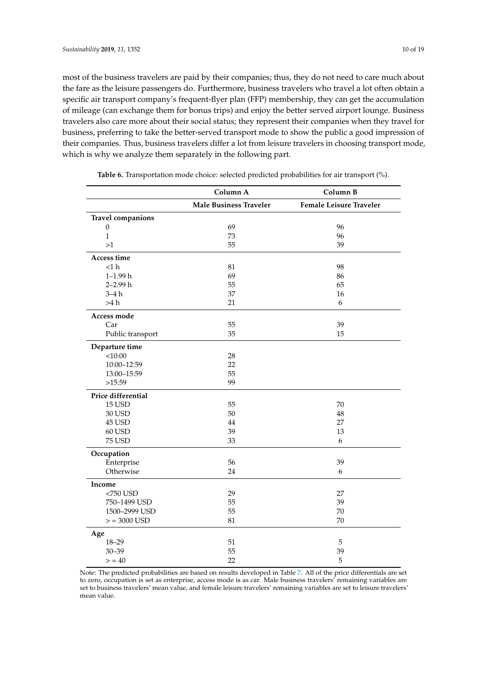most of the business travelers are paid by their companies; thus, they do not need to care much about the fare as the leisure passengers do. Furthermore, business travelers who travel a lot often obtain a specific air transport company's frequent-flyer plan (FFP) membership, they can get the accumulation of mileage (can exchange them for bonus trips) and enjoy the better served airport lounge. Business travelers also care more about their social status; they represent their companies when they travel for business, preferring to take the better-served transport mode to show the public a good impression of their companies. Thus, business travelers differ a lot from leisure travelers in choosing transport mode, which is why we analyze them separately in the following part.

<span id="page-9-0"></span>

|                          | Column A                      | Column B                       |
|--------------------------|-------------------------------|--------------------------------|
|                          | <b>Male Business Traveler</b> | <b>Female Leisure Traveler</b> |
| <b>Travel companions</b> |                               |                                |
| $\boldsymbol{0}$         | 69                            | 96                             |
| $\mathbf{1}$             | 73                            | 96                             |
| >1                       | 55                            | 39                             |
| Access time              |                               |                                |
| <1 h                     | 81                            | 98                             |
| $1 - 1.99$ h             | 69                            | 86                             |
| $2 - 2.99 h$             | 55                            | 65                             |
| $3-4h$                   | 37                            | 16                             |
| >4 h                     | 21                            | 6                              |
| Access mode              |                               |                                |
| Car                      | 55                            | 39                             |
| Public transport         | 35                            | 15                             |
| Departure time           |                               |                                |
| $<$ 10:00                | 28                            |                                |
| 10:00-12:59              | 22                            |                                |
| 13:00-15:59              | 55                            |                                |
| >15:59                   | 99                            |                                |
| Price differential       |                               |                                |
| 15 USD                   | 55                            | 70                             |
| 30 USD                   | 50                            | 48                             |
| 45 USD                   | 44                            | 27                             |
| 60 USD                   | 39                            | 13                             |
| 75 USD                   | 33                            | 6                              |
| Occupation               |                               |                                |
| Enterprise               | 56                            | 39                             |
| Otherwise                | 24                            | 6                              |
| Income                   |                               |                                |
| $<$ 750 USD              | 29                            | 27                             |
| 750-1499 USD             | 55                            | 39                             |
| 1500-2999 USD            | 55                            | 70                             |
| $>$ = 3000 USD           | 81                            | 70                             |
| Age                      |                               |                                |
| $18 - 29$                | 51                            | 5                              |
| $30 - 39$                | 55                            | 39                             |
| > 40                     | 22                            | 5                              |

**Table 6.** Transportation mode choice: selected predicted probabilities for air transport (%).

Note: The predicted probabilities are based on results developed in Table [7.](#page-11-0) All of the price differentials are set to zero, occupation is set as enterprise, access mode is as car. Male business travelers' remaining variables are set to business travelers' mean value, and female leisure travelers' remaining variables are set to leisure travelers' mean value.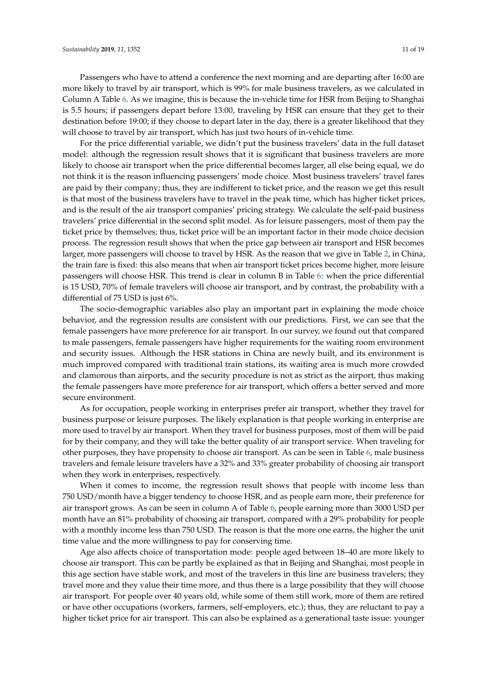Passengers who have to attend a conference the next morning and are departing after 16:00 are more likely to travel by air transport, which is 99% for male business travelers, as we calculated in Column A Table [6.](#page-9-0) As we imagine, this is because the in-vehicle time for HSR from Beijing to Shanghai is 5.5 hours; if passengers depart before 13:00, traveling by HSR can ensure that they get to their destination before 19:00; if they choose to depart later in the day, there is a greater likelihood that they will choose to travel by air transport, which has just two hours of in-vehicle time.

For the price differential variable, we didn't put the business travelers' data in the full dataset model: although the regression result shows that it is significant that business travelers are more likely to choose air transport when the price differential becomes larger, all else being equal, we do not think it is the reason influencing passengers' mode choice. Most business travelers' travel fares are paid by their company; thus, they are indifferent to ticket price, and the reason we get this result is that most of the business travelers have to travel in the peak time, which has higher ticket prices, and is the result of the air transport companies' pricing strategy. We calculate the self-paid business travelers' price differential in the second split model. As for leisure passengers, most of them pay the ticket price by themselves; thus, ticket price will be an important factor in their mode choice decision process. The regression result shows that when the price gap between air transport and HSR becomes larger, more passengers will choose to travel by HSR. As the reason that we give in Table [2,](#page-4-1) in China, the train fare is fixed: this also means that when air transport ticket prices become higher, more leisure passengers will choose HSR. This trend is clear in column B in Table [6:](#page-9-0) when the price differential is 15 USD, 70% of female travelers will choose air transport, and by contrast, the probability with a differential of 75 USD is just 6%.

The socio-demographic variables also play an important part in explaining the mode choice behavior, and the regression results are consistent with our predictions. First, we can see that the female passengers have more preference for air transport. In our survey, we found out that compared to male passengers, female passengers have higher requirements for the waiting room environment and security issues. Although the HSR stations in China are newly built, and its environment is much improved compared with traditional train stations, its waiting area is much more crowded and clamorous than airports, and the security procedure is not as strict as the airport, thus making the female passengers have more preference for air transport, which offers a better served and more secure environment.

As for occupation, people working in enterprises prefer air transport, whether they travel for business purpose or leisure purposes. The likely explanation is that people working in enterprise are more used to travel by air transport. When they travel for business purposes, most of them will be paid for by their company, and they will take the better quality of air transport service. When traveling for other purposes, they have propensity to choose air transport. As can be seen in Table [6,](#page-9-0) male business travelers and female leisure travelers have a 32% and 33% greater probability of choosing air transport when they work in enterprises, respectively.

When it comes to income, the regression result shows that people with income less than 750 USD/month have a bigger tendency to choose HSR, and as people earn more, their preference for air transport grows. As can be seen in column A of Table [6,](#page-9-0) people earning more than 3000 USD per month have an 81% probability of choosing air transport, compared with a 29% probability for people with a monthly income less than 750 USD. The reason is that the more one earns, the higher the unit time value and the more willingness to pay for conserving time.

Age also affects choice of transportation mode: people aged between 18–40 are more likely to choose air transport. This can be partly be explained as that in Beijing and Shanghai, most people in this age section have stable work, and most of the travelers in this line are business travelers; they travel more and they value their time more, and thus there is a large possibility that they will choose air transport. For people over 40 years old, while some of them still work, more of them are retired or have other occupations (workers, farmers, self-employers, etc.); thus, they are reluctant to pay a higher ticket price for air transport. This can also be explained as a generational taste issue: younger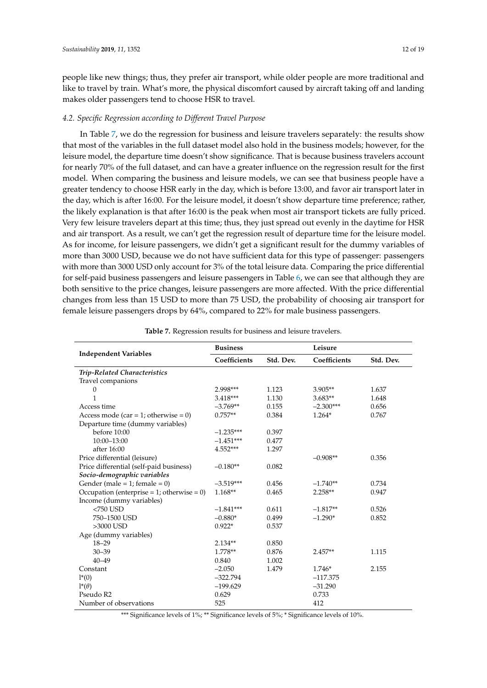people like new things; thus, they prefer air transport, while older people are more traditional and like to travel by train. What's more, the physical discomfort caused by aircraft taking off and landing makes older passengers tend to choose HSR to travel.

#### *4.2. Specific Regression according to Different Travel Purpose*

In Table [7,](#page-11-0) we do the regression for business and leisure travelers separately: the results show that most of the variables in the full dataset model also hold in the business models; however, for the leisure model, the departure time doesn't show significance. That is because business travelers account for nearly 70% of the full dataset, and can have a greater influence on the regression result for the first model. When comparing the business and leisure models, we can see that business people have a greater tendency to choose HSR early in the day, which is before 13:00, and favor air transport later in the day, which is after 16:00. For the leisure model, it doesn't show departure time preference; rather, the likely explanation is that after 16:00 is the peak when most air transport tickets are fully priced. Very few leisure travelers depart at this time; thus, they just spread out evenly in the daytime for HSR and air transport. As a result, we can't get the regression result of departure time for the leisure model. As for income, for leisure passengers, we didn't get a significant result for the dummy variables of more than 3000 USD, because we do not have sufficient data for this type of passenger: passengers with more than 3000 USD only account for 3% of the total leisure data. Comparing the price differential for self-paid business passengers and leisure passengers in Table [6,](#page-9-0) we can see that although they are both sensitive to the price changes, leisure passengers are more affected. With the price differential changes from less than 15 USD to more than 75 USD, the probability of choosing air transport for female leisure passengers drops by 64%, compared to 22% for male business passengers.

<span id="page-11-0"></span>

| <b>Independent Variables</b>               | <b>Business</b> |           | Leisure      |           |
|--------------------------------------------|-----------------|-----------|--------------|-----------|
|                                            | Coefficients    | Std. Dev. | Coefficients | Std. Dev. |
| <b>Trip-Related Characteristics</b>        |                 |           |              |           |
| Travel companions                          |                 |           |              |           |
| $\boldsymbol{0}$                           | 2.998***        | 1.123     | 3.905**      | 1.637     |
| 1                                          | $3.418***$      | 1.130     | $3.683**$    | 1.648     |
| Access time                                | $-3.769**$      | 0.155     | $-2.300***$  | 0.656     |
| Access mode (car = 1; otherwise = 0)       | $0.757**$       | 0.384     | $1.264*$     | 0.767     |
| Departure time (dummy variables)           |                 |           |              |           |
| before 10:00                               | $-1.235***$     | 0.397     |              |           |
| 10:00-13:00                                | $-1.451***$     | 0.477     |              |           |
| after 16:00                                | $4.552***$      | 1.297     |              |           |
| Price differential (leisure)               |                 |           | $-0.908**$   | 0.356     |
| Price differential (self-paid business)    | $-0.180**$      | 0.082     |              |           |
| Socio-demographic variables                |                 |           |              |           |
| Gender (male = $1$ ; female = 0)           | $-3.519***$     | 0.456     | $-1.740**$   | 0.734     |
| Occupation (enterprise = 1; otherwise = 0) | $1.168**$       | 0.465     | $2.258**$    | 0.947     |
| Income (dummy variables)                   |                 |           |              |           |
| $<$ 750 USD                                | $-1.841***$     | 0.611     | $-1.817**$   | 0.526     |
| 750-1500 USD                               | $-0.880*$       | 0.499     | $-1.290*$    | 0.852     |
| $>3000$ USD                                | $0.922*$        | 0.537     |              |           |
| Age (dummy variables)                      |                 |           |              |           |
| $18 - 29$                                  | $2.134**$       | 0.850     |              |           |
| $30 - 39$                                  | 1.778**         | 0.876     | $2.457**$    | 1.115     |
| $40 - 49$                                  | 0.840           | 1.002     |              |           |
| Constant                                   | $-2.050$        | 1.479     | $1.746*$     | 2.155     |
| $1*(0)$                                    | $-322.794$      |           | $-117.375$   |           |
| $l^*(\theta)$                              | $-199.629$      |           | $-31.290$    |           |
| Pseudo R2                                  | 0.629           |           | 0.733        |           |
| Number of observations                     | 525             |           | 412          |           |

| Table 7. Regression results for business and leisure travelers. |  |  |  |
|-----------------------------------------------------------------|--|--|--|
|                                                                 |  |  |  |

\*\*\* Significance levels of 1%; \*\* Significance levels of 5%; \* Significance levels of 10%.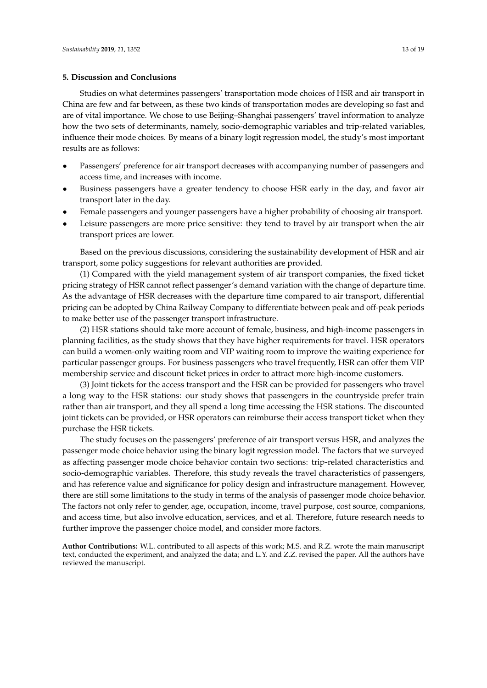#### <span id="page-12-0"></span>**5. Discussion and Conclusions**

Studies on what determines passengers' transportation mode choices of HSR and air transport in China are few and far between, as these two kinds of transportation modes are developing so fast and are of vital importance. We chose to use Beijing–Shanghai passengers' travel information to analyze how the two sets of determinants, namely, socio-demographic variables and trip-related variables, influence their mode choices. By means of a binary logit regression model, the study's most important results are as follows:

- Passengers' preference for air transport decreases with accompanying number of passengers and access time, and increases with income.
- Business passengers have a greater tendency to choose HSR early in the day, and favor air transport later in the day.
- Female passengers and younger passengers have a higher probability of choosing air transport.
- Leisure passengers are more price sensitive: they tend to travel by air transport when the air transport prices are lower.

Based on the previous discussions, considering the sustainability development of HSR and air transport, some policy suggestions for relevant authorities are provided.

(1) Compared with the yield management system of air transport companies, the fixed ticket pricing strategy of HSR cannot reflect passenger's demand variation with the change of departure time. As the advantage of HSR decreases with the departure time compared to air transport, differential pricing can be adopted by China Railway Company to differentiate between peak and off-peak periods to make better use of the passenger transport infrastructure.

(2) HSR stations should take more account of female, business, and high-income passengers in planning facilities, as the study shows that they have higher requirements for travel. HSR operators can build a women-only waiting room and VIP waiting room to improve the waiting experience for particular passenger groups. For business passengers who travel frequently, HSR can offer them VIP membership service and discount ticket prices in order to attract more high-income customers.

(3) Joint tickets for the access transport and the HSR can be provided for passengers who travel a long way to the HSR stations: our study shows that passengers in the countryside prefer train rather than air transport, and they all spend a long time accessing the HSR stations. The discounted joint tickets can be provided, or HSR operators can reimburse their access transport ticket when they purchase the HSR tickets.

The study focuses on the passengers' preference of air transport versus HSR, and analyzes the passenger mode choice behavior using the binary logit regression model. The factors that we surveyed as affecting passenger mode choice behavior contain two sections: trip-related characteristics and socio-demographic variables. Therefore, this study reveals the travel characteristics of passengers, and has reference value and significance for policy design and infrastructure management. However, there are still some limitations to the study in terms of the analysis of passenger mode choice behavior. The factors not only refer to gender, age, occupation, income, travel purpose, cost source, companions, and access time, but also involve education, services, and et al. Therefore, future research needs to further improve the passenger choice model, and consider more factors.

**Author Contributions:** W.L. contributed to all aspects of this work; M.S. and R.Z. wrote the main manuscript text, conducted the experiment, and analyzed the data; and L.Y. and Z.Z. revised the paper. All the authors have reviewed the manuscript.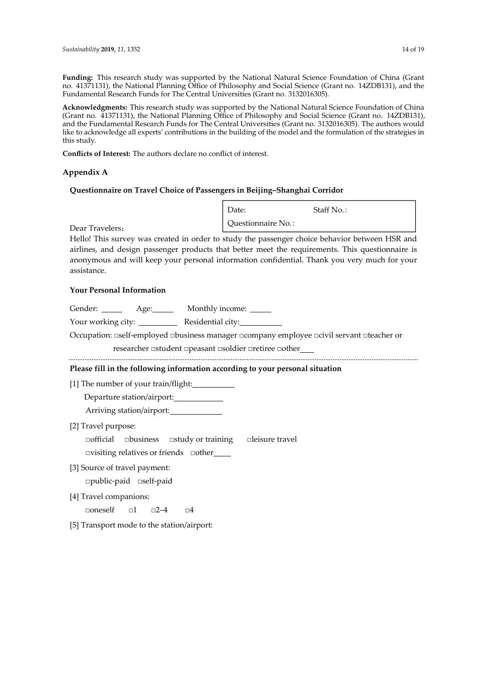**Funding:** This research study was supported by the National Natural Science Foundation of China (Grant **Funding:** This research study was supported by the National Natural Science Foundation of China (Grant no. 14ZDB131), and the National Planning Office of Philosophy and Social Science (Grant no. 14ZDB131), and the Fundamental Research Funds for The Central Universities (Grant no. 3132016305).

Acknowledgments: This research study was supported by the National Natural Science Foundation of China (Grant no. 41371131), the National Planning Office of Philosophy and Social Science (Grant no. 14ZDB131), and the Fundamental Research Funds for The Central Universities (Grant no. 3132016305). The authors would like to acknowledge all experts' contributions in the building of the model and the formulation of the strategies in<br>this study this study.

**Conflicts of Interest:** The authors declare no conflict of interest. **Conflicts of Interest:** The authors declare no conflict of interest.

# <span id="page-13-0"></span>**Appendix A Appendix A:**

#### **Questionnaire on Travel Choice of Passengers in Beijing–Shanghai Corridor**

| Date:              | Staff No.: |
|--------------------|------------|
| Questionnaire No.: |            |

Dear Travelers:

Hello! This survey was created in order to study the passenger choice behavior between HSR and airlines, and design passenger products that better meet the requirements. This questionnaire is anonymous and will keep your personal information confidential. Thank you very much for your assistance.

#### **Your Personal Information**

Gender: \_\_\_\_\_\_ Age: \_\_\_\_\_ Monthly income: \_\_\_\_\_

Your working city: Residential city:

Occupation: □self-employed □business manager □company employee □civil servant □teacher or

researcher □student □peasant □soldier □retiree □other

#### **Please fill in the following information according to your personal situation**

[1] The number of your train/flight:

Departure station/airport:

Arriving station/airport:

[2] Travel purpose:

□official □business □study or training □leisure travel

□visiting relatives or friends □other

[3] Source of travel payment:

□public-paid □self-paid

[4] Travel companions:

□oneself □1 □2–4 □4

[5] Transport mode to the station/airport: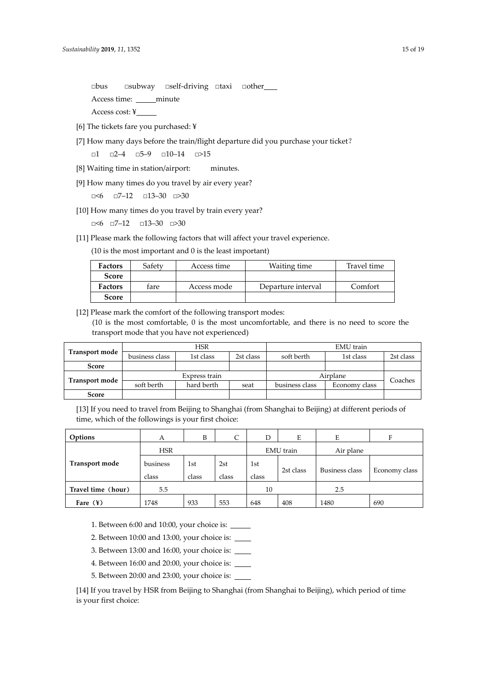□bus □subway □self-driving □taxi □other

Access time: \_\_\_\_\_ minute

Access cost: ¥

- [6] The tickets fare you purchased: ¥
- [7] How many days before the train/flight departure did you purchase your ticket?

□1 □2–4 □5–9 □10–14 □>15

- [8] Waiting time in station/airport: minutes.
- [9] How many times do you travel by air every year?

□<6 □7–12 □13–30 □>30

[10] How many times do you travel by train every year?

□<6 □7–12 □13–30 □>30

[11] Please mark the following factors that will affect your travel experience.

(10 is the most important and 0 is the least important)

| <b>Factors</b> | Safetv | Access time | Waiting time       | Travel time |
|----------------|--------|-------------|--------------------|-------------|
| <b>Score</b>   |        |             |                    |             |
| <b>Factors</b> | fare   | Access mode | Departure interval | Comfort     |
| <b>Score</b>   |        |             |                    |             |

[12] Please mark the comfort of the following transport modes:

(10 is the most comfortable, 0 is the most uncomfortable, and there is no need to score the transport mode that you have not experienced)

| <b>Transport mode</b> |                | HSR        |           | <b>EMU</b> train |               |           |  |
|-----------------------|----------------|------------|-----------|------------------|---------------|-----------|--|
|                       | business class | 1st class  | 2st class | soft berth       | 1st class     | 2st class |  |
| Score                 |                |            |           |                  |               |           |  |
| <b>Transport mode</b> | Express train  |            |           | Airplane         |               |           |  |
|                       | soft berth     | hard berth | seat      | business class   | Economy class | Coaches   |  |
| Score                 |                |            |           |                  |               |           |  |

[13] If you need to travel from Beijing to Shanghai (from Shanghai to Beijing) at different periods of time, which of the followings is your first choice:

| Options               | А                 | B            | C            | D            | Е         | Е              | Е             |
|-----------------------|-------------------|--------------|--------------|--------------|-----------|----------------|---------------|
|                       | <b>HSR</b>        |              |              | EMU train    |           | Air plane      |               |
| <b>Transport mode</b> | business<br>class | 1st<br>class | 2st<br>class | 1st<br>class | 2st class | Business class | Economy class |
| Travel time (hour)    | 5.5               |              |              | 10           |           | 2.5            |               |
| Fare $(4)$            | 1748              | 933          | 553          | 648          | 408       | 1480           | 690           |

1. Between 6:00 and 10:00, your choice is:

- 2. Between 10:00 and 13:00, your choice is:
- 3. Between 13:00 and 16:00, your choice is:
- 4. Between 16:00 and 20:00, your choice is:
- 5. Between 20:00 and 23:00, your choice is:

[14] If you travel by HSR from Beijing to Shanghai (from Shanghai to Beijing), which period of time is your first choice: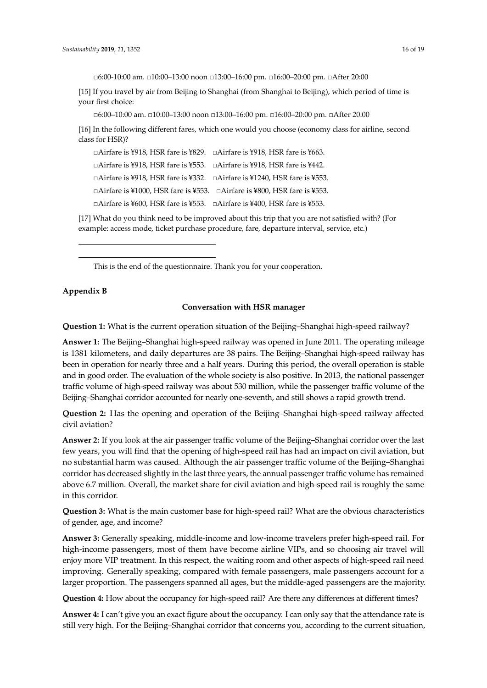□6:00-10:00 am. □10:00–13:00 noon □13:00–16:00 pm. □16:00–20:00 pm. □After 20:00

[15] If you travel by air from Beijing to Shanghai (from Shanghai to Beijing), which period of time is your first choice:

□6:00–10:00 am. □10:00–13:00 noon □13:00–16:00 pm. □16:00–20:00 pm. □After 20:00

[16] In the following different fares, which one would you choose (economy class for airline, second class for HSR)?

□Airfare is ¥918, HSR fare is ¥829. □Airfare is ¥918, HSR fare is ¥663.

□Airfare is ¥918, HSR fare is ¥553. □Airfare is ¥918, HSR fare is ¥442.

□Airfare is ¥918, HSR fare is ¥332. □Airfare is ¥1240, HSR fare is ¥553.

□Airfare is ¥1000, HSR fare is ¥553. □Airfare is ¥800, HSR fare is ¥553.

□Airfare is ¥600, HSR fare is ¥553. □Airfare is ¥400, HSR fare is ¥553.

[17] What do you think need to be improved about this trip that you are not satisfied with? (For example: access mode, ticket purchase procedure, fare, departure interval, service, etc.)

This is the end of the questionnaire. Thank you for your cooperation.

# <span id="page-15-0"></span>**Appendix B: Appendix B**

 $\overline{a}$  $\overline{a}$ 

## **Conversation with HSR manager Conversation with HSR manager**

**Question 1:** What is the current operation situation of the Beijing–Shanghai high-speed railway? **Question 1:** What is the current operation situation of the Beijing–Shanghai high-speed railway?

**Answer 1:** The Beijing–Shanghai high-speed railway was opened in June 2011. The operating mileage **Answer 1:** The Beijing–Shanghai high-speed railway was opened in June 2011. The operating mileage is 1381 kilometers, and daily departures are 38 pairs. The Beijing–Shanghai high-speed railway has is 1381 kilometers, and daily departures are 38 pairs. The Beijing–Shanghai high-speed railway has been in operation for nearly three and a half years. During this period, the overall operation is stable and permission for the evaluation of the whole society is also positive. In 2013, the national passenger of the and in good order. The evaluation of the whole society is also positive. In 2013, the national passenger traffic volume of high-speed railway was about 530 million, while the passenger traffic volume of the Beijing–Shanghai corridor accounted for nearly one-seventh, and still shows a rapid growth trend.

**Question 2:** Has the opening and operation of the Beijing–Shanghai high-speed railway affected aviation? civil aviation?

**Answer 2:** If you look at the air passenger traffic volume of the Beijing–Shanghai corridor over the **Answer 2:** If you look at the air passenger traffic volume of the Beijing–Shanghai corridor over the last few years, you will find that the opening of high-speed rail has had an impact on civil aviation, but no substantial harm was caused. Although the air passenger traffic volume of the Beijing–Shanghai corridor has decreased slightly in the last three years, the annual passenger traffic volume has remained above 6.7 million. Overall, the market share for civil aviation and high-speed rail is roughly the same in this corridor.

**Question 3:** What is the main customer base for high-speed rail? What are the obvious characteristics **Answer 3:** Generally speaking, middle-income and low-income travelers prefer high-speed rail. For of gender, age, and income?

**Answer 3:** Generally speaking, middle-income and low-income travelers prefer high-speed rail. For high-income passengers, most of them have become airline VIPs, and so choosing air travel will enjoy more VIP treatment. In this respect, the waiting room and other aspects of high-speed rail need improving. Generally speaking, compared with female passengers, male passengers account for a larger proportion. The passengers spanned all ages, but the middle-aged passengers are the majority.<br>

Question 4: How about the occupancy for high-speed rail? Are there any differences at different times?

**Answer 4:** I can't give you an exact figure about the occupancy. I can only say that the attendance rate is still very high. For the Beijing–Shanghai corridor that concerns you, according to the current situation,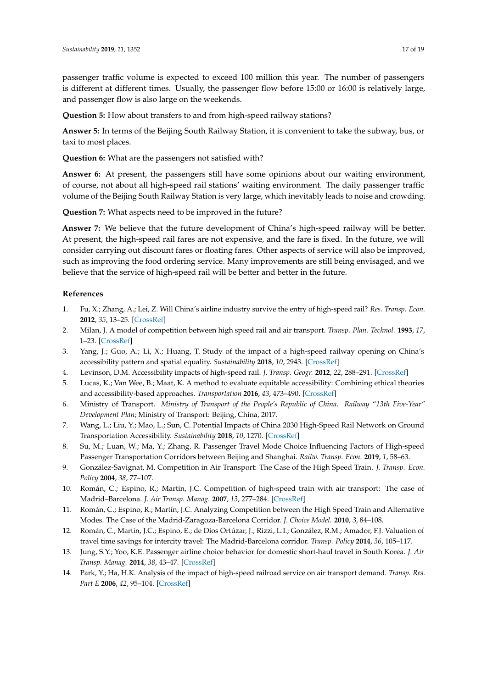passenger traffic volume is expected to exceed 100 million this year. The number of passengers is different at different times. Usually, the passenger flow before 15:00 or 16:00 is relatively large, and passenger flow is also large on the weekends.

**Question 5:** How about transfers to and from high-speed railway stations?

**Answer 5:** In terms of the Beijing South Railway Station, it is convenient to take the subway, bus, or taxi to most places.

**Question 6:** What are the passengers not satisfied with?

**Answer 6:** At present, the passengers still have some opinions about our waiting environment, of course, not about all high-speed rail stations' waiting environment. The daily passenger traffic volume of the Beijing South Railway Station is very large, which inevitably leads to noise and crowding.

**Question 7:** What aspects need to be improved in the future?

**Answer 7:** We believe that the future development of China's high-speed railway will be better. At present, the high-speed rail fares are not expensive, and the fare is fixed. In the future, we will consider carrying out discount fares or floating fares. Other aspects of service will also be improved, such as improving the food ordering service. Many improvements are still being envisaged, and we believe that the service of high-speed rail will be better and better in the future.

### **References**

- <span id="page-16-0"></span>1. Fu, X.; Zhang, A.; Lei, Z. Will China's airline industry survive the entry of high-speed rail? *Res. Transp. Econ.* **2012**, *35*, 13–25. [\[CrossRef\]](http://dx.doi.org/10.1016/j.retrec.2011.11.006)
- <span id="page-16-1"></span>2. Milan, J. A model of competition between high speed rail and air transport. *Transp. Plan. Technol.* **1993**, *17*, 1–23. [\[CrossRef\]](http://dx.doi.org/10.1080/03081069308717496)
- <span id="page-16-2"></span>3. Yang, J.; Guo, A.; Li, X.; Huang, T. Study of the impact of a high-speed railway opening on China's accessibility pattern and spatial equality. *Sustainability* **2018**, *10*, 2943. [\[CrossRef\]](http://dx.doi.org/10.3390/su10082943)
- <span id="page-16-3"></span>4. Levinson, D.M. Accessibility impacts of high-speed rail. *J. Transp. Geogr.* **2012**, *22*, 288–291. [\[CrossRef\]](http://dx.doi.org/10.1016/j.jtrangeo.2012.01.029)
- <span id="page-16-4"></span>5. Lucas, K.; Van Wee, B.; Maat, K. A method to evaluate equitable accessibility: Combining ethical theories and accessibility-based approaches. *Transportation* **2016**, *43*, 473–490. [\[CrossRef\]](http://dx.doi.org/10.1007/s11116-015-9585-2)
- <span id="page-16-5"></span>6. Ministry of Transport. *Ministry of Transport of the People's Republic of China. Railway "13th Five-Year" Development Plan*; Ministry of Transport: Beijing, China, 2017.
- <span id="page-16-6"></span>7. Wang, L.; Liu, Y.; Mao, L.; Sun, C. Potential Impacts of China 2030 High-Speed Rail Network on Ground Transportation Accessibility. *Sustainability* **2018**, *10*, 1270. [\[CrossRef\]](http://dx.doi.org/10.3390/su10041270)
- <span id="page-16-7"></span>8. Su, M.; Luan, W.; Ma, Y.; Zhang, R. Passenger Travel Mode Choice Influencing Factors of High-speed Passenger Transportation Corridors between Beijing and Shanghai. *Railw. Transp. Econ.* **2019**, *1*, 58–63.
- <span id="page-16-8"></span>9. González-Savignat, M. Competition in Air Transport: The Case of the High Speed Train. *J. Transp. Econ. Policy* **2004**, *38*, 77–107.
- 10. Román, C.; Espino, R.; Martín, J.C. Competition of high-speed train with air transport: The case of Madrid–Barcelona. *J. Air Transp. Manag.* **2007**, *13*, 277–284. [\[CrossRef\]](http://dx.doi.org/10.1016/j.jairtraman.2007.04.009)
- 11. Román, C.; Espino, R.; Martín, J.C. Analyzing Competition between the High Speed Train and Alternative Modes. The Case of the Madrid-Zaragoza-Barcelona Corridor. *J. Choice Model.* **2010**, *3*, 84–108.
- <span id="page-16-9"></span>12. Román, C.; Martín, J.C.; Espino, E.; de Dios Ortúzar, J.; Rizzi, L.I.; González, R.M.; Amador, F.J. Valuation of travel time savings for intercity travel: The Madrid-Barcelona corridor. *Transp. Policy* **2014**, *36*, 105–117.
- <span id="page-16-10"></span>13. Jung, S.Y.; Yoo, K.E. Passenger airline choice behavior for domestic short-haul travel in South Korea. *J. Air Transp. Manag.* **2014**, *38*, 43–47. [\[CrossRef\]](http://dx.doi.org/10.1016/j.jairtraman.2013.12.017)
- <span id="page-16-11"></span>14. Park, Y.; Ha, H.K. Analysis of the impact of high-speed railroad service on air transport demand. *Transp. Res. Part E* **2006**, *42*, 95–104. [\[CrossRef\]](http://dx.doi.org/10.1016/j.tre.2005.09.003)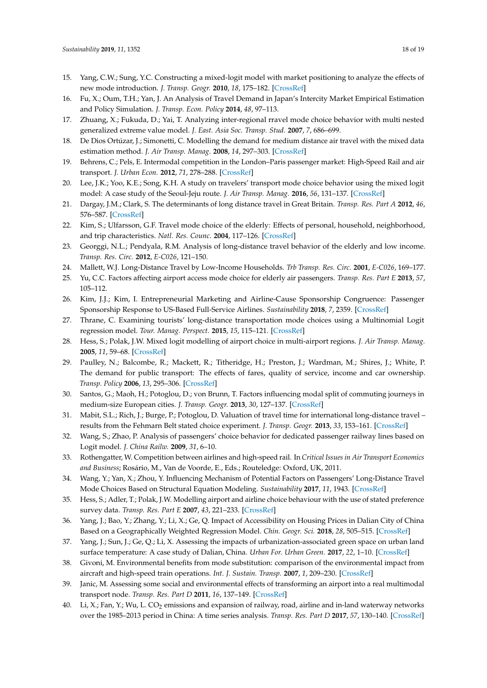- <span id="page-17-0"></span>15. Yang, C.W.; Sung, Y.C. Constructing a mixed-logit model with market positioning to analyze the effects of new mode introduction. *J. Transp. Geogr.* **2010**, *18*, 175–182. [\[CrossRef\]](http://dx.doi.org/10.1016/j.jtrangeo.2009.01.005)
- <span id="page-17-1"></span>16. Fu, X.; Oum, T.H.; Yan, J. An Analysis of Travel Demand in Japan's Intercity Market Empirical Estimation and Policy Simulation. *J. Transp. Econ. Policy* **2014**, *48*, 97–113.
- <span id="page-17-2"></span>17. Zhuang, X.; Fukuda, D.; Yai, T. Analyzing inter-regional rravel mode choice behavior with multi nested generalized extreme value model. *J. East. Asia Soc. Transp. Stud.* **2007**, *7*, 686–699.
- <span id="page-17-3"></span>18. De Dios Ortúzar, J.; Simonetti, C. Modelling the demand for medium distance air travel with the mixed data estimation method. *J. Air Transp. Manag.* **2008**, *14*, 297–303. [\[CrossRef\]](http://dx.doi.org/10.1016/j.jairtraman.2008.08.002)
- <span id="page-17-4"></span>19. Behrens, C.; Pels, E. Intermodal competition in the London–Paris passenger market: High-Speed Rail and air transport. *J. Urban Econ.* **2012**, *71*, 278–288. [\[CrossRef\]](http://dx.doi.org/10.1016/j.jue.2011.12.005)
- <span id="page-17-5"></span>20. Lee, J.K.; Yoo, K.E.; Song, K.H. A study on travelers' transport mode choice behavior using the mixed logit model: A case study of the Seoul-Jeju route. *J. Air Transp. Manag.* **2016**, *56*, 131–137. [\[CrossRef\]](http://dx.doi.org/10.1016/j.jairtraman.2016.04.020)
- <span id="page-17-6"></span>21. Dargay, J.M.; Clark, S. The determinants of long distance travel in Great Britain. *Transp. Res. Part A* **2012**, *46*, 576–587. [\[CrossRef\]](http://dx.doi.org/10.1016/j.tra.2011.11.016)
- 22. Kim, S.; Ulfarsson, G.F. Travel mode choice of the elderly: Effects of personal, household, neighborhood, and trip characteristics. *Natl. Res. Counc.* **2004**, 117–126. [\[CrossRef\]](http://dx.doi.org/10.3141/1894-13)
- <span id="page-17-8"></span>23. Georggi, N.L.; Pendyala, R.M. Analysis of long-distance travel behavior of the elderly and low income. *Transp. Res. Circ.* **2012**, *E-C026*, 121–150.
- <span id="page-17-9"></span><span id="page-17-7"></span>24. Mallett, W.J. Long-Distance Travel by Low-Income Households. *Trb Transp. Res. Circ.* **2001**, *E-C026*, 169–177.
- 25. Yu, C.C. Factors affecting airport access mode choice for elderly air passengers. *Transp. Res. Part E* **2013**, *57*, 105–112.
- <span id="page-17-10"></span>26. Kim, J.J.; Kim, I. Entrepreneurial Marketing and Airline-Cause Sponsorship Congruence: Passenger Sponsorship Response to US-Based Full-Service Airlines. *Sustainability* **2018**, *7*, 2359. [\[CrossRef\]](http://dx.doi.org/10.3390/su10072359)
- <span id="page-17-11"></span>27. Thrane, C. Examining tourists' long-distance transportation mode choices using a Multinomial Logit regression model. *Tour. Manag. Perspect.* **2015**, *15*, 115–121. [\[CrossRef\]](http://dx.doi.org/10.1016/j.tmp.2014.10.004)
- <span id="page-17-12"></span>28. Hess, S.; Polak, J.W. Mixed logit modelling of airport choice in multi-airport regions. *J. Air Transp. Manag.* **2005**, *11*, 59–68. [\[CrossRef\]](http://dx.doi.org/10.1016/j.jairtraman.2004.09.001)
- <span id="page-17-13"></span>29. Paulley, N.; Balcombe, R.; Mackett, R.; Titheridge, H.; Preston, J.; Wardman, M.; Shires, J.; White, P. The demand for public transport: The effects of fares, quality of service, income and car ownership. *Transp. Policy* **2006**, *13*, 295–306. [\[CrossRef\]](http://dx.doi.org/10.1016/j.tranpol.2005.12.004)
- <span id="page-17-14"></span>30. Santos, G.; Maoh, H.; Potoglou, D.; von Brunn, T. Factors influencing modal split of commuting journeys in medium-size European cities. *J. Transp. Geogr.* **2013**, *30*, 127–137. [\[CrossRef\]](http://dx.doi.org/10.1016/j.jtrangeo.2013.04.005)
- <span id="page-17-15"></span>31. Mabit, S.L.; Rich, J.; Burge, P.; Potoglou, D. Valuation of travel time for international long-distance travel – results from the Fehmarn Belt stated choice experiment. *J. Transp. Geogr.* **2013**, *33*, 153–161. [\[CrossRef\]](http://dx.doi.org/10.1016/j.jtrangeo.2013.10.003)
- <span id="page-17-16"></span>32. Wang, S.; Zhao, P. Analysis of passengers' choice behavior for dedicated passenger railway lines based on Logit model. *J. China Railw.* **2009**, *31*, 6–10.
- <span id="page-17-17"></span>33. Rothengatter, W. Competition between airlines and high-speed rail. In *Critical Issues in Air Transport Economics and Business*; Rosário, M., Van de Voorde, E., Eds.; Routeledge: Oxford, UK, 2011.
- <span id="page-17-18"></span>34. Wang, Y.; Yan, X.; Zhou, Y. Influencing Mechanism of Potential Factors on Passengers' Long-Distance Travel Mode Choices Based on Structural Equation Modeling. *Sustainability* **2017**, *11*, 1943. [\[CrossRef\]](http://dx.doi.org/10.3390/su9111943)
- <span id="page-17-19"></span>35. Hess, S.; Adler, T.; Polak, J.W. Modelling airport and airline choice behaviour with the use of stated preference survey data. *Transp. Res. Part E* **2007**, *43*, 221–233. [\[CrossRef\]](http://dx.doi.org/10.1016/j.tre.2006.10.002)
- <span id="page-17-20"></span>36. Yang, J.; Bao, Y.; Zhang, Y.; Li, X.; Ge, Q. Impact of Accessibility on Housing Prices in Dalian City of China Based on a Geographically Weighted Regression Model. *Chin. Geogr. Sci.* **2018**, *28*, 505–515. [\[CrossRef\]](http://dx.doi.org/10.1007/s11769-018-0954-6)
- <span id="page-17-21"></span>37. Yang, J.; Sun, J.; Ge, Q.; Li, X. Assessing the impacts of urbanization-associated green space on urban land surface temperature: A case study of Dalian, China. *Urban For. Urban Green.* **2017**, *22*, 1–10. [\[CrossRef\]](http://dx.doi.org/10.1016/j.ufug.2017.01.002)
- <span id="page-17-22"></span>38. Givoni, M. Environmental benefits from mode substitution: comparison of the environmental impact from aircraft and high-speed train operations. *Int. J. Sustain. Transp.* **2007**, *1*, 209–230. [\[CrossRef\]](http://dx.doi.org/10.1080/15568310601060044)
- <span id="page-17-23"></span>39. Janic, M. Assessing some social and environmental effects of transforming an airport into a real multimodal transport node. *Transp. Res. Part D* **2011**, *16*, 137–149. [\[CrossRef\]](http://dx.doi.org/10.1016/j.trd.2010.10.002)
- <span id="page-17-24"></span>40. Li, X.; Fan, Y.; Wu, L. CO<sub>2</sub> emissions and expansion of railway, road, airline and in-land waterway networks over the 1985–2013 period in China: A time series analysis. *Transp. Res. Part D* **2017**, *57*, 130–140. [\[CrossRef\]](http://dx.doi.org/10.1016/j.trd.2017.09.008)